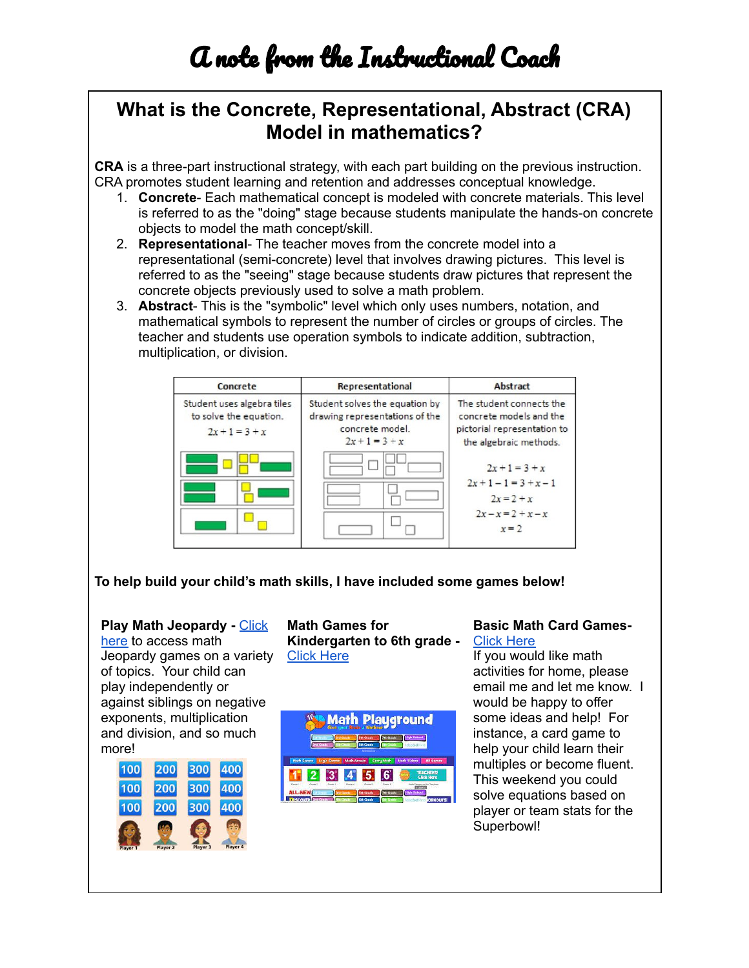## **What is the Concrete, Representational, Abstract (CRA) Model in mathematics?**

**CRA** is a three-part instructional strategy, with each part building on the previous instruction. CRA promotes student learning and retention and addresses conceptual knowledge.

- 1. **Concrete** Each mathematical concept is modeled with concrete materials. This level is referred to as the "doing" stage because students manipulate the hands-on concrete objects to model the math concept/skill.
- 2. **Representational** The teacher moves from the concrete model into a representational (semi-concrete) level that involves drawing pictures. This level is referred to as the "seeing" stage because students draw pictures that represent the concrete objects previously used to solve a math problem.
- 3. **Abstract** This is the "symbolic" level which only uses numbers, notation, and mathematical symbols to represent the number of circles or groups of circles. The teacher and students use operation symbols to indicate addition, subtraction, multiplication, or division.



**To help build your child's math skills, I have included some games below!**

## **Play Math Jeopardy -** Click here to access math

Jeopardy games on a variety of topics. Your child can play independently or against siblings on negative exponents, multiplication and division, and so much more!



**Math Games for Kindergarten to 6th grade -** Click Here



## **Basic Math Card Games-**Click Here

If you would like math activities for home, please email me and let me know. I would be happy to offer some ideas and help! For instance, a card game to help your child learn their multiples or become fluent. This weekend you could solve equations based on player or team stats for the Superbowl!